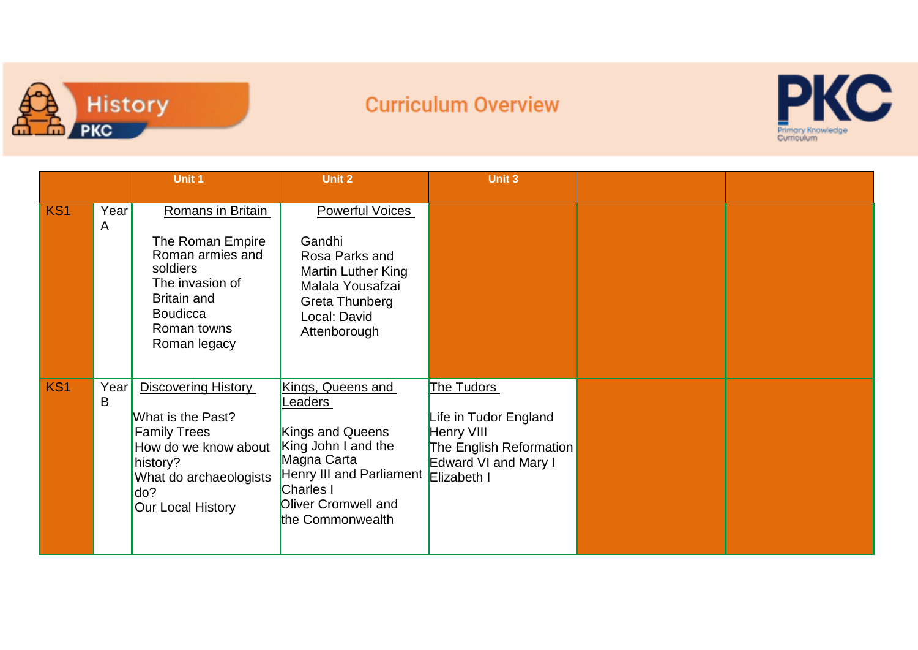

## **Curriculum Overview**



|                 |           | <b>Unit 1</b>                                                                                                                                                           | <b>Unit 2</b>                                                                                                                                                                         | Unit 3                                                                                                      |  |
|-----------------|-----------|-------------------------------------------------------------------------------------------------------------------------------------------------------------------------|---------------------------------------------------------------------------------------------------------------------------------------------------------------------------------------|-------------------------------------------------------------------------------------------------------------|--|
| KS <sub>1</sub> | Year<br>A | Romans in Britain<br>The Roman Empire<br>Roman armies and<br>soldiers<br>The invasion of<br><b>Britain and</b><br><b>Boudicca</b><br>Roman towns<br>Roman legacy        | <b>Powerful Voices</b><br>Gandhi<br>Rosa Parks and<br>Martin Luther King<br>Malala Yousafzai<br>Greta Thunberg<br>Local: David<br>Attenborough                                        |                                                                                                             |  |
| KS <sub>1</sub> | Year<br>B | <b>Discovering History</b><br>What is the Past?<br><b>Family Trees</b><br>How do we know about<br>history?<br>What do archaeologists<br>do?<br><b>Our Local History</b> | Kings, Queens and<br>eaders<br>Kings and Queens<br>King John I and the<br>Magna Carta<br>Henry III and Parliament Elizabeth I<br>Charles I<br>Oliver Cromwell and<br>the Commonwealth | The Tudors<br>Life in Tudor England<br>Henry VIII<br><b>The English Reformation</b><br>Edward VI and Mary I |  |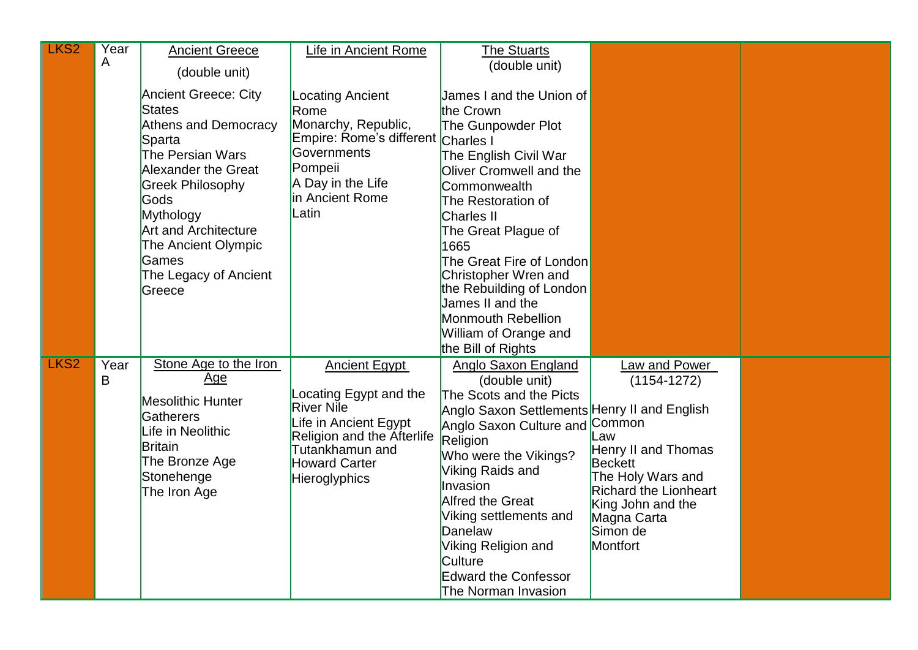| LKS <sub>2</sub> | Year<br>A | <b>Ancient Greece</b><br>(double unit)                                                                                                                                                                                                                                                           | Life in Ancient Rome                                                                                                                                                                   | <b>The Stuarts</b><br>(double unit)                                                                                                                                                                                                                                                                                                                                                |                                                                                                                                                                                                             |  |
|------------------|-----------|--------------------------------------------------------------------------------------------------------------------------------------------------------------------------------------------------------------------------------------------------------------------------------------------------|----------------------------------------------------------------------------------------------------------------------------------------------------------------------------------------|------------------------------------------------------------------------------------------------------------------------------------------------------------------------------------------------------------------------------------------------------------------------------------------------------------------------------------------------------------------------------------|-------------------------------------------------------------------------------------------------------------------------------------------------------------------------------------------------------------|--|
|                  |           | <b>Ancient Greece: City</b><br><b>States</b><br><b>Athens and Democracy</b><br>Sparta<br>The Persian Wars<br><b>Alexander the Great</b><br><b>Greek Philosophy</b><br><b>Gods</b><br>Mythology<br><b>Art and Architecture</b><br>The Ancient Olympic<br>Games<br>The Legacy of Ancient<br>Greece | <b>Locating Ancient</b><br>Rome<br>Monarchy, Republic,<br>Empire: Rome's different Charles I<br>Governments<br>Pompeii<br>A Day in the Life<br>in Ancient Rome<br>Latin                | James I and the Union of<br>the Crown<br>The Gunpowder Plot<br>The English Civil War<br>Oliver Cromwell and the<br>Commonwealth<br>The Restoration of<br><b>Charles II</b><br>The Great Plague of<br>1665<br>The Great Fire of London<br>Christopher Wren and<br>the Rebuilding of London<br>James II and the<br>Monmouth Rebellion<br>William of Orange and<br>the Bill of Rights |                                                                                                                                                                                                             |  |
| LKS <sub>2</sub> | Year<br>B | Stone Age to the Iron<br>Age<br><b>Mesolithic Hunter</b><br><b>Gatherers</b><br>Life in Neolithic<br><b>Britain</b><br>The Bronze Age<br>Stonehenge<br>The Iron Age                                                                                                                              | <b>Ancient Egypt</b><br>Locating Egypt and the<br><b>River Nile</b><br>Life in Ancient Egypt<br>Religion and the Afterlife<br>Tutankhamun and<br><b>Howard Carter</b><br>Hieroglyphics | Anglo Saxon England<br>(double unit)<br>The Scots and the Picts<br>Anglo Saxon Settlements Henry II and English<br>Anglo Saxon Culture and<br>Religion<br>Who were the Vikings?<br>Viking Raids and<br>Invasion<br><b>Alfred the Great</b><br>Viking settlements and<br>Danelaw<br>Viking Religion and<br><b>Culture</b><br><b>Edward the Confessor</b><br>The Norman Invasion     | Law and Power<br>$(1154 - 1272)$<br>Common<br>Law<br>Henry II and Thomas<br><b>Beckett</b><br>The Holy Wars and<br><b>Richard the Lionheart</b><br>King John and the<br>Magna Carta<br>Simon de<br>Montfort |  |